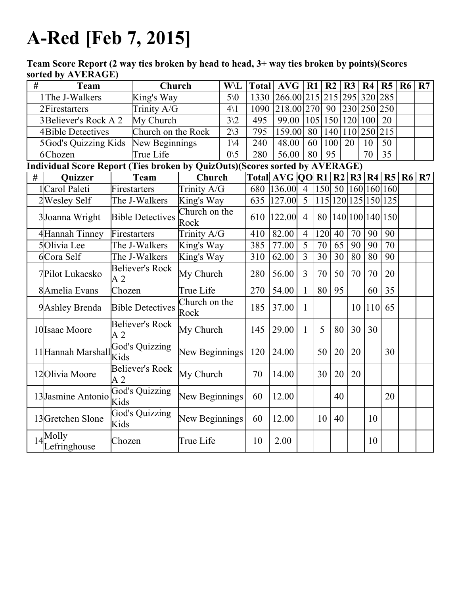## A-Red [Feb 7, 2015]

Team Score Report (2 way ties broken by head to head, 3+ way ties broken by points)(Scores sorted by AVERAGE)

| # | Team                                                                        |                                           | Church             |                          | <b>W\L</b>             | <b>Total AVG</b>                   |                |            | R1             | R <sub>2</sub> |                 | $\overline{R}$ | R4              | R <sub>5</sub>      | <b>R6</b> | R7 |
|---|-----------------------------------------------------------------------------|-------------------------------------------|--------------------|--------------------------|------------------------|------------------------------------|----------------|------------|----------------|----------------|-----------------|----------------|-----------------|---------------------|-----------|----|
|   | 1The J-Walkers                                                              | King's Way                                |                    |                          | $5\backslash 0$        | 1330                               | 266.00 215 215 |            |                |                |                 |                | 295 320         | 285                 |           |    |
|   | Trinity A/G<br>2Firestarters                                                |                                           |                    | $4\backslash1$           | 1090                   |                                    |                | 218.00 270 | 90             |                |                 | 230 250        | 250             |                     |           |    |
|   | 3Believer's Rock A 2                                                        |                                           | My Church          |                          | $\overline{3}\sqrt{2}$ | 495                                | 99.00          |            | 105            |                | 150   120       |                | 100             | 20                  |           |    |
|   | 4Bible Detectives                                                           |                                           | Church on the Rock |                          | $2\backslash 3$        | 795                                | 159.00         |            | 80             | 140            |                 |                | 110 250         | 215                 |           |    |
|   | 5God's Quizzing Kids                                                        |                                           | New Beginnings     |                          | $1\backslash 4$        | 240                                | 48.00          |            | 60             | 100            |                 | 20             | 10              | $\overline{50}$     |           |    |
|   | 6Chozen                                                                     |                                           | True Life          |                          | $0\backslash 5$        | 280                                | 56.00          |            | 80             | 95             |                 |                | 70              | 35                  |           |    |
|   | Individual Score Report (Ties broken by QuizOuts)(Scores sorted by AVERAGE) |                                           |                    |                          |                        |                                    |                |            |                |                |                 |                |                 |                     |           |    |
| # | Quizzer                                                                     |                                           | <b>Team</b>        | Church                   |                        | Total AVG   00   R1   R2   R3   R4 |                |            |                |                |                 |                |                 | R5                  | <b>R6</b> | R7 |
|   | 1Carol Paleti                                                               | Firestarters                              |                    | Trinity A/G              |                        | 680                                | 136.00         |            | $\overline{4}$ | 150            | 50              |                |                 | 160 160 160         |           |    |
|   | 2Wesley Self                                                                |                                           | The J-Walkers      | King's Way               |                        | 635                                | 127.00         |            | $\overline{5}$ |                |                 |                |                 | 115 120 125 150 125 |           |    |
|   | 3Joanna Wright                                                              | <b>Bible Detectives</b>                   |                    | Church on the<br>Rock    |                        | 610                                | 122.00         |            | $\overline{4}$ | 80             |                 |                |                 | 140 100 140 150     |           |    |
|   | 4Hannah Tinney                                                              | Firestarters                              |                    | Trinity $A/\overline{G}$ |                        | 410                                | 82.00          |            | $\overline{4}$ | 120            | 40              | 70             | 90              | 90                  |           |    |
|   | 5Olivia Lee                                                                 | The J-Walkers                             |                    | King's Way               |                        | 385                                | 77.00          |            | 5              | 70             | 65              | 90             | 90              | 70                  |           |    |
|   | <b>6Cora Self</b>                                                           | The J-Walkers                             |                    | King's Way               |                        | 310                                | 62.00          |            | $\overline{3}$ | 30             | $\overline{30}$ | 80             | $\overline{80}$ | 90                  |           |    |
|   | 7Pilot Lukacsko                                                             | <b>Believer's Rock</b><br>A <sub>2</sub>  |                    | My Church                |                        | 280                                | 56.00          |            | $\overline{3}$ | 70             | 50              | 70             | 70              | 20                  |           |    |
|   | 8 Amelia Evans                                                              | Chozen                                    |                    | True Life                |                        | 270                                | 54.00          |            | 1              | 80             | 95              |                | 60              | 35                  |           |    |
|   | 9 Ashley Brenda                                                             | <b>Bible Detectives</b>                   |                    | Church on the<br>Rock    |                        | 185                                | 37.00          |            | $\mathbf{1}$   |                |                 | 10             | 110             | 65                  |           |    |
|   | 10 Isaac Moore                                                              | <b>Believer's Rock</b><br>A <sub>2</sub>  |                    | My Church                |                        | 145                                | 29.00          |            | 1              | 5              | 80              | 30             | 30              |                     |           |    |
|   | 11 Hannah Marshall                                                          | God's Quizzing<br>Kids                    |                    | New Beginnings           |                        | 120                                | 24.00          |            |                | 50             | 20              | 20             |                 | 30                  |           |    |
|   | 12 Olivia Moore                                                             | <b>Believer's Rock</b><br>$\overline{A}2$ |                    | My Church                |                        | 70                                 | 14.00          |            |                | 30             | 20              | 20             |                 |                     |           |    |
|   | 13 Jasmine Antonio                                                          | God's Quizzing<br>Kids                    |                    | New Beginnings           |                        | 60                                 | 12.00          |            |                |                | 40              |                |                 | 20                  |           |    |
|   | 13 Gretchen Slone                                                           | <b>God's Quizzing</b><br>Kids             |                    | New Beginnings           |                        | 60                                 | 12.00          |            |                | 10             | 40              |                | 10              |                     |           |    |
|   | $14\sqrt{\text{Molly}}$<br>Lefringhouse                                     | Chozen                                    |                    | True Life                |                        | 10                                 | 2.00           |            |                |                |                 |                | 10              |                     |           |    |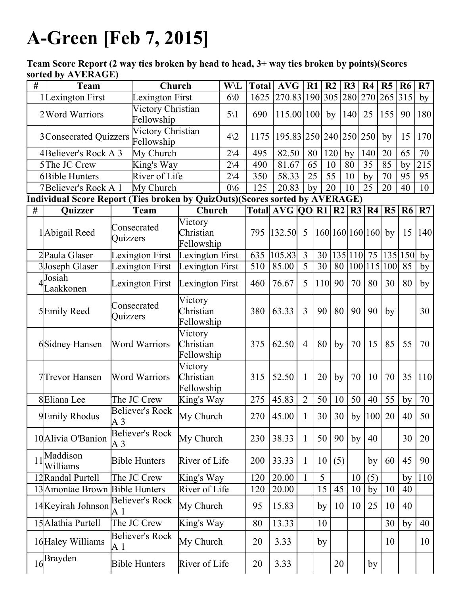## A-Green [Feb 7, 2015]

Team Score Report (2 way ties broken by head to head, 3+ way ties broken by points)(Scores sorted by AVERAGE)

| # | <b>Team</b>                                                                 |                                 | Church                          |                                    | <b>W\L</b>                     | <b>Total</b> | <b>AVG</b>                           |                | R1  | R <sub>2</sub> | R3      | R <sub>4</sub>  | R5            | R <sub>6</sub> | R7               |
|---|-----------------------------------------------------------------------------|---------------------------------|---------------------------------|------------------------------------|--------------------------------|--------------|--------------------------------------|----------------|-----|----------------|---------|-----------------|---------------|----------------|------------------|
|   | 1Lexington First                                                            |                                 | Lexington First                 |                                    | 60 <sub>0</sub>                | 1625         | 270.83 190 305 280 270 265 315       |                |     |                |         |                 |               |                | by               |
|   | 2 Word Warriors                                                             | Victory Christian<br>Fellowship |                                 |                                    | $5\backslash1$                 | 690          | $115.00 100 $ by                     |                |     |                | 140     | 25              | 155           | 90             | 180              |
|   | 3Consecrated Quizzers                                                       |                                 | Victory Christian<br>Fellowship |                                    | $4\sqrt{2}$<br>$2\backslash 4$ | 1175         | 195.83 250 240 250 250               |                |     |                |         |                 | by            | 15             | 170              |
|   | 4Believer's Rock A 3                                                        |                                 | My Church                       |                                    |                                | 495          | 82.50                                |                | 80  | 120            | by      | 140             | 20            | 65             | 70               |
|   | 5The JC Crew                                                                | King's Way                      |                                 |                                    | $2\backslash 4$                |              | 81.67                                |                | 65  | 10             | 80      | 35              | 85            | by             | $\overline{215}$ |
|   | <b>6Bible Hunters</b>                                                       |                                 | River of Life                   |                                    | $2\vee 4$                      | 350          | 58.33                                |                | 25  | 55             | 10      | by              | 70            | 95             | 95               |
|   | 7Believer's Rock A 1                                                        |                                 | My Church                       |                                    | 0/6                            | 125          | 20.83                                |                | by  | 20             | 10      | 25              | 20            | 40             | 10               |
|   | Individual Score Report (Ties broken by QuizOuts)(Scores sorted by AVERAGE) |                                 |                                 |                                    |                                |              |                                      |                |     |                |         |                 |               |                |                  |
| # | Quizzer                                                                     |                                 | Team                            | Church                             |                                |              | Total   AVG   QO   R1   R2   R3   R4 |                |     |                |         |                 |               | R5 R6          | R7               |
|   | 1 Abigail Reed                                                              | Quizzers                        | Consecrated                     | Victory<br>Christian               |                                | 795          | 132.50                               | 5              |     |                |         | 160 160 160 160 | by            | 15             | 140              |
|   |                                                                             |                                 |                                 | Fellowship                         |                                |              |                                      |                |     |                |         |                 |               |                |                  |
|   | 2 Paula Glaser                                                              |                                 | Lexington First                 | Lexington First                    |                                | 635          | 105.83                               | 3              | 30  |                | 135 110 | 75              |               | 135 150        | by               |
|   | 3Joseph Glaser                                                              |                                 | Lexington First                 | Lexington First                    |                                | 510          | 85.00                                | $\overline{5}$ | 30  | 80             |         | 100 115         | 100           | 85             | by               |
|   | Josiah<br>Laakkonen                                                         | Lexington First                 |                                 | Lexington First                    |                                | 460          | 76.67                                | 5              | 110 | 90             | 70      | 80              | 30            | 80             | by               |
|   | 5Emily Reed                                                                 | Consecrated<br>Quizzers         |                                 | Victory<br>Christian<br>Fellowship |                                | 380          | 63.33                                | $\overline{3}$ | 90  | 80             | 90      | 90              | by            |                | 30               |
|   | 6Sidney Hansen                                                              | <b>Word Warriors</b>            |                                 | Victory<br>Christian<br>Fellowship |                                | 375          | 62.50                                | $\overline{4}$ | 80  | by             | 70      | 15              | 85            | 55             | 70               |
|   | 7Trevor Hansen                                                              | <b>Word Warriors</b>            |                                 | Victory<br>Christian<br>Fellowship |                                | 315          | 52.50                                | $\mathbf{1}$   | 20  | by             | 70      | 10              | 70            | 35             | 110              |
|   | 8Eliana Lee                                                                 |                                 | The JC Crew                     | King's Way                         |                                | 275          | 45.83                                | $\overline{2}$ | 50  | 10             | 50      | 40              | 55            | by             | $\overline{70}$  |
|   | 9Emily Rhodus                                                               | A <sub>3</sub>                  | <b>Believer's Rock</b>          | My Church                          |                                | 270          | 45.00                                | $\mathbf{1}$   |     | 30 30          |         |                 | by $ 100 $ 20 | 40             | 50               |
|   | 10 Alivia O'Banion                                                          | A 3                             | <b>Believer's Rock</b>          | My Church                          |                                | 230          | 38.33                                | $\mathbf{1}$   | 50  | 90             | by      | 40              |               | 30             | 20               |
|   | 11 <sup>Maddison</sup><br>Williams                                          | <b>Bible Hunters</b>            |                                 | River of Life                      |                                | 200          | 33.33                                | $\mathbf{1}$   | 10  | (5)            |         | by              | 60            | 45             | 90               |
|   | 12Randal Purtell                                                            | The JC Crew                     |                                 | King's Way                         |                                | 120          | 20.00                                | $\mathbf{1}$   | 5   |                | 10      | (5)             |               | by             | <b>110</b>       |
|   | 13 Amontae Brown                                                            |                                 | <b>Bible Hunters</b>            | River of Life                      |                                | 120          | 20.00                                |                | 15  | 45             | 10      | by              | 10            | 40             |                  |
|   | 14 Keyirah Johnson                                                          | <b>Believer's Rock</b><br>A 1   |                                 | My Church                          |                                | 95           | 15.83                                |                | by  | 10             | 10      | 25              | 10            | 40             |                  |
|   | 15 Alathia Purtell                                                          |                                 | The JC Crew                     | King's Way                         |                                | 80           | 13.33                                |                | 10  |                |         |                 | 30            | by             | 40               |
|   | 16 Haley Williams                                                           | A 1                             | <b>Believer's Rock</b>          | My Church                          |                                | 20           | 3.33                                 |                | by  |                |         |                 | 10            |                | 10               |
|   | $16\overline{\text{Brayden}}$                                               |                                 | <b>Bible Hunters</b>            | River of Life                      |                                | 20           | 3.33                                 |                |     | 20             |         | by              |               |                |                  |